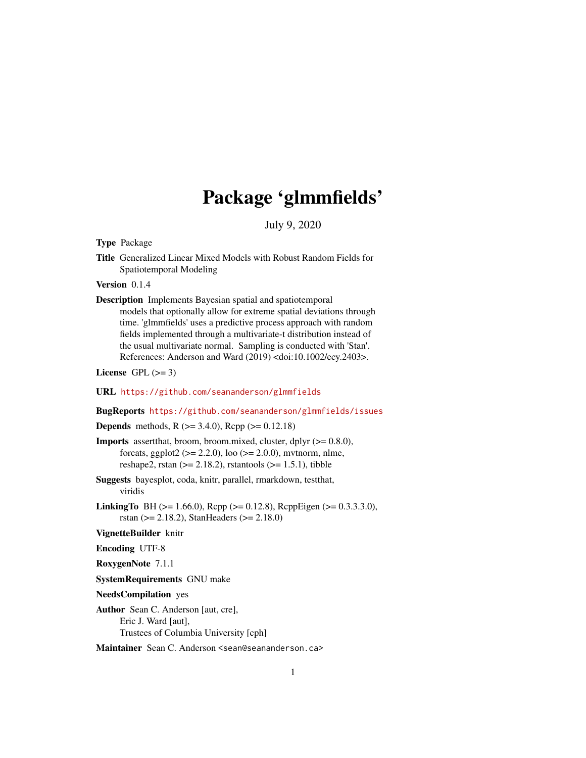## Package 'glmmfields'

July 9, 2020

<span id="page-0-0"></span>Type Package

Title Generalized Linear Mixed Models with Robust Random Fields for Spatiotemporal Modeling

Version 0.1.4

Description Implements Bayesian spatial and spatiotemporal

models that optionally allow for extreme spatial deviations through time. 'glmmfields' uses a predictive process approach with random fields implemented through a multivariate-t distribution instead of the usual multivariate normal. Sampling is conducted with 'Stan'. References: Anderson and Ward (2019) <doi:10.1002/ecy.2403>.

License GPL  $(>= 3)$ 

URL <https://github.com/seananderson/glmmfields>

### BugReports <https://github.com/seananderson/glmmfields/issues>

**Depends** methods, R  $(>= 3.4.0)$ , Rcpp  $(>= 0.12.18)$ 

- **Imports** assert that, broom, broom.mixed, cluster, dplyr  $(>= 0.8.0)$ , forcats, ggplot2 ( $> = 2.2.0$ ), loo ( $> = 2.0.0$ ), mvtnorm, nlme, reshape2, rstan  $(>= 2.18.2)$ , rstantools  $(>= 1.5.1)$ , tibble
- Suggests bayesplot, coda, knitr, parallel, rmarkdown, testthat, viridis
- **LinkingTo** BH ( $>= 1.66.0$ ), Rcpp ( $>= 0.12.8$ ), RcppEigen ( $>= 0.3.3.3.0$ ), rstan (>= 2.18.2), StanHeaders (>= 2.18.0)

VignetteBuilder knitr

Encoding UTF-8

RoxygenNote 7.1.1

SystemRequirements GNU make

NeedsCompilation yes

Author Sean C. Anderson [aut, cre], Eric J. Ward [aut], Trustees of Columbia University [cph]

Maintainer Sean C. Anderson <sean@seananderson.ca>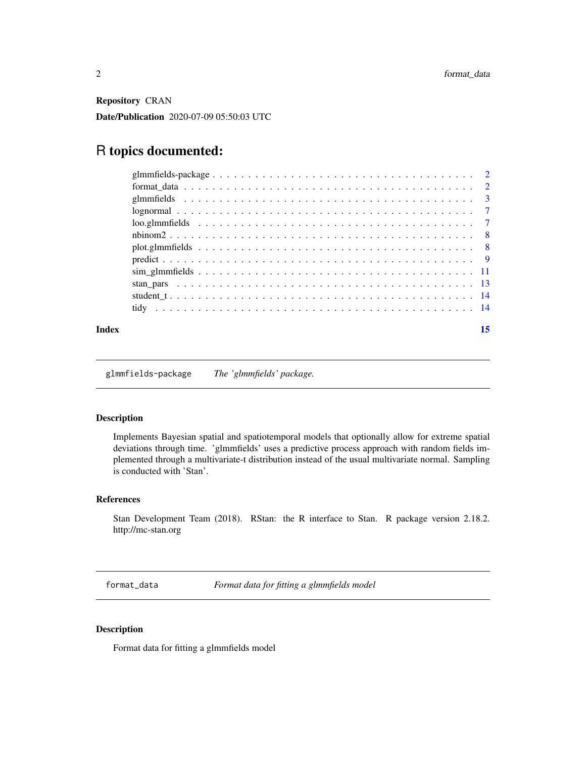<span id="page-1-0"></span>Repository CRAN

Date/Publication 2020-07-09 05:50:03 UTC

## R topics documented:

### **Index** [15](#page-14-0)

glmmfields-package *The 'glmmfields' package.*

### Description

Implements Bayesian spatial and spatiotemporal models that optionally allow for extreme spatial deviations through time. 'glmmfields' uses a predictive process approach with random fields implemented through a multivariate-t distribution instead of the usual multivariate normal. Sampling is conducted with 'Stan'.

### References

Stan Development Team (2018). RStan: the R interface to Stan. R package version 2.18.2. http://mc-stan.org

format\_data *Format data for fitting a glmmfields model*

### Description

Format data for fitting a glmmfields model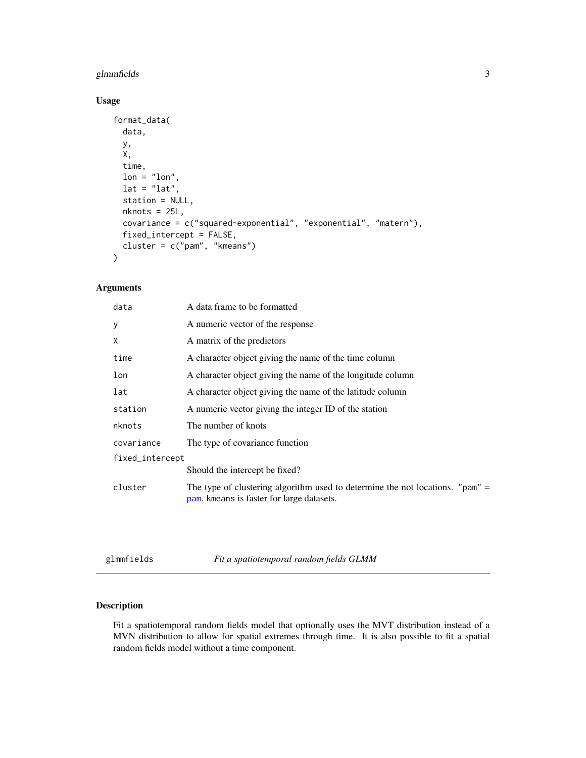### <span id="page-2-0"></span>glmmfields 3

### Usage

```
format_data(
 data,
 y,
 X,
  time,
 lon = "lon",lat = "lat",station = NULL,
 nknots = 25L,
 covariance = c("squared-exponential", "exponential", "matern"),
 fixed_intercept = FALSE,
 cluster = c("pam", "kmeans")
)
```
### Arguments

| data            | A data frame to be formatted                                                                                                   |  |
|-----------------|--------------------------------------------------------------------------------------------------------------------------------|--|
| У               | A numeric vector of the response                                                                                               |  |
| X               | A matrix of the predictors                                                                                                     |  |
| time            | A character object giving the name of the time column                                                                          |  |
| lon             | A character object giving the name of the longitude column                                                                     |  |
| lat             | A character object giving the name of the latitude column                                                                      |  |
| station         | A numeric vector giving the integer ID of the station                                                                          |  |
| nknots          | The number of knots                                                                                                            |  |
| covariance      | The type of covariance function                                                                                                |  |
| fixed_intercept |                                                                                                                                |  |
|                 | Should the intercept be fixed?                                                                                                 |  |
| cluster         | The type of clustering algorithm used to determine the not locations. " $pam$ " =<br>pam. kmeans is faster for large datasets. |  |
|                 |                                                                                                                                |  |

<span id="page-2-1"></span>glmmfields *Fit a spatiotemporal random fields GLMM*

### Description

Fit a spatiotemporal random fields model that optionally uses the MVT distribution instead of a MVN distribution to allow for spatial extremes through time. It is also possible to fit a spatial random fields model without a time component.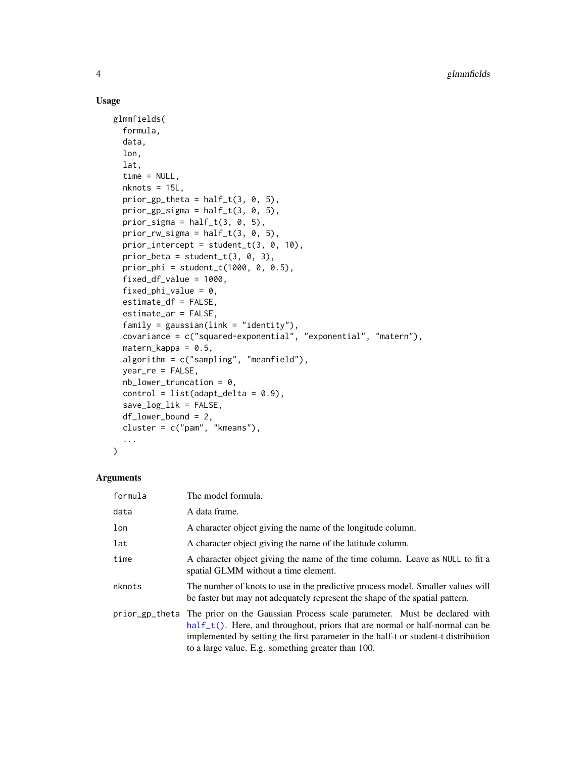### Usage

```
glmmfields(
  formula,
  data,
  lon,
  lat,
  time = NULL,
 nknots = 15L,
 prior\_gp_{theta = half_t(3, 0, 5),
 prior_gp_sigma = half_t(3, 0, 5),
  prior_sigma = half_t(3, 0, 5),
 prior_rw_sigma = half_t(3, 0, 5),prior_intercept = student_t(3, 0, 10),
 prior_beta = student_t(3, 0, 3),
  prior\_phi = student_t(1000, 0, 0.5),
  fixed_df_value = 1000,
  fixed_phi_value = 0,
  estimate_df = FALSE,
  estimate_ar = FALSE,
  family = gaussian(line = "identity"),
  covariance = c("squared-exponential", "exponential", "matern"),
  \text{matern\_kappa} = 0.5,algorithm = c("sampling", "meanfield"),
  year_re = FALSE,
 nb_lower_truncation = 0,
  control = list(adapt\_delta = 0.9),
  save_log_lik = FALSE,
  df_lower_bound = 2,
  cluster = c("pam", "kmeans"),
  ...
```
 $\mathcal{L}$ 

| formula        | The model formula.                                                                                                                                                                                                                                                                                      |  |
|----------------|---------------------------------------------------------------------------------------------------------------------------------------------------------------------------------------------------------------------------------------------------------------------------------------------------------|--|
| data           | A data frame.                                                                                                                                                                                                                                                                                           |  |
| lon            | A character object giving the name of the longitude column.                                                                                                                                                                                                                                             |  |
| lat            | A character object giving the name of the latitude column.                                                                                                                                                                                                                                              |  |
| time           | A character object giving the name of the time column. Leave as NULL to fit a<br>spatial GLMM without a time element.                                                                                                                                                                                   |  |
| nknots         | The number of knots to use in the predictive process model. Smaller values will<br>be faster but may not adequately represent the shape of the spatial pattern.                                                                                                                                         |  |
| prior_gp_theta | The prior on the Gaussian Process scale parameter. Must be declared with<br>$half_t()$ . Here, and throughout, priors that are normal or half-normal can be<br>implemented by setting the first parameter in the half-t or student-t distribution<br>to a large value. E.g. something greater than 100. |  |

<span id="page-3-0"></span>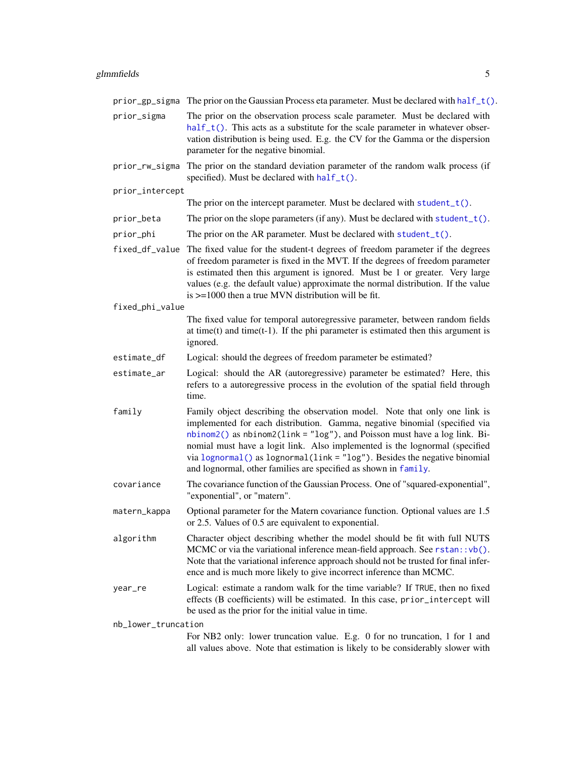### <span id="page-4-0"></span>glmmfields 5

|                     | prior_gp_sigma The prior on the Gaussian Process eta parameter. Must be declared with half_t().                                                                                                                                                                                                                                                                                                                                                                           |  |
|---------------------|---------------------------------------------------------------------------------------------------------------------------------------------------------------------------------------------------------------------------------------------------------------------------------------------------------------------------------------------------------------------------------------------------------------------------------------------------------------------------|--|
| prior_sigma         | The prior on the observation process scale parameter. Must be declared with<br>$half_t()$ . This acts as a substitute for the scale parameter in whatever obser-<br>vation distribution is being used. E.g. the CV for the Gamma or the dispersion<br>parameter for the negative binomial.                                                                                                                                                                                |  |
| prior_rw_sigma      | The prior on the standard deviation parameter of the random walk process (if<br>specified). Must be declared with half_t().                                                                                                                                                                                                                                                                                                                                               |  |
| prior_intercept     |                                                                                                                                                                                                                                                                                                                                                                                                                                                                           |  |
|                     | The prior on the intercept parameter. Must be declared with $student_t()$ .                                                                                                                                                                                                                                                                                                                                                                                               |  |
| prior_beta          | The prior on the slope parameters (if any). Must be declared with student_t().                                                                                                                                                                                                                                                                                                                                                                                            |  |
| prior_phi           | The prior on the AR parameter. Must be declared with $student_t()$ .                                                                                                                                                                                                                                                                                                                                                                                                      |  |
| fixed_df_value      | The fixed value for the student-t degrees of freedom parameter if the degrees<br>of freedom parameter is fixed in the MVT. If the degrees of freedom parameter<br>is estimated then this argument is ignored. Must be 1 or greater. Very large<br>values (e.g. the default value) approximate the normal distribution. If the value<br>is $\ge$ =1000 then a true MVN distribution will be fit.                                                                           |  |
| fixed_phi_value     |                                                                                                                                                                                                                                                                                                                                                                                                                                                                           |  |
|                     | The fixed value for temporal autoregressive parameter, between random fields<br>at time $(t)$ and time $(t-1)$ . If the phi parameter is estimated then this argument is<br>ignored.                                                                                                                                                                                                                                                                                      |  |
| estimate_df         | Logical: should the degrees of freedom parameter be estimated?                                                                                                                                                                                                                                                                                                                                                                                                            |  |
| estimate_ar         | Logical: should the AR (autoregressive) parameter be estimated? Here, this<br>refers to a autoregressive process in the evolution of the spatial field through<br>time.                                                                                                                                                                                                                                                                                                   |  |
| family              | Family object describing the observation model. Note that only one link is<br>implemented for each distribution. Gamma, negative binomial (specified via<br>$nbinom2()$ as $nbinom2(link = "log")$ , and Poisson must have a log link. Bi-<br>nomial must have a logit link. Also implemented is the lognormal (specified<br>via lognormal() as lognormal(link = "log"). Besides the negative binomial<br>and lognormal, other families are specified as shown in family. |  |
| covariance          | The covariance function of the Gaussian Process. One of "squared-exponential",<br>"exponential", or "matern".                                                                                                                                                                                                                                                                                                                                                             |  |
| matern_kappa        | Optional parameter for the Matern covariance function. Optional values are 1.5<br>or 2.5. Values of 0.5 are equivalent to exponential.                                                                                                                                                                                                                                                                                                                                    |  |
| algorithm           | Character object describing whether the model should be fit with full NUTS<br>MCMC or via the variational inference mean-field approach. See rstan:: vb().<br>Note that the variational inference approach should not be trusted for final infer-<br>ence and is much more likely to give incorrect inference than MCMC.                                                                                                                                                  |  |
| year_re             | Logical: estimate a random walk for the time variable? If TRUE, then no fixed<br>effects (B coefficients) will be estimated. In this case, prior_intercept will<br>be used as the prior for the initial value in time.                                                                                                                                                                                                                                                    |  |
| nb_lower_truncation |                                                                                                                                                                                                                                                                                                                                                                                                                                                                           |  |
|                     | For NB2 only: lower truncation value. E.g. 0 for no truncation, 1 for 1 and                                                                                                                                                                                                                                                                                                                                                                                               |  |

all values above. Note that estimation is likely to be considerably slower with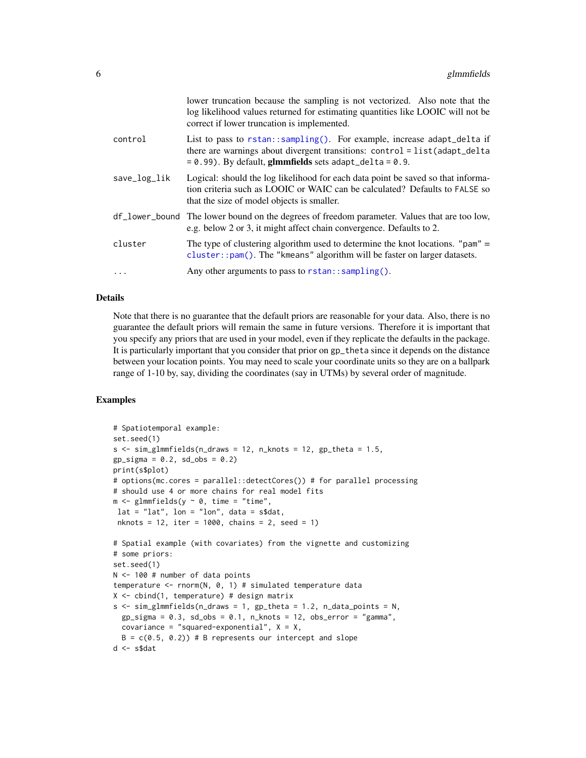<span id="page-5-0"></span>

|              | lower truncation because the sampling is not vectorized. Also note that the<br>log likelihood values returned for estimating quantities like LOOIC will not be<br>correct if lower truncation is implemented.       |
|--------------|---------------------------------------------------------------------------------------------------------------------------------------------------------------------------------------------------------------------|
| control      | List to pass to rstan::sampling(). For example, increase adapt_delta if<br>there are warnings about divergent transitions: control = list(adapt_delta<br>$= 0.99$ ). By default, glmmfields sets adapt_delta = 0.9. |
| save_log_lik | Logical: should the log likelihood for each data point be saved so that informa-<br>tion criteria such as LOOIC or WAIC can be calculated? Defaults to FALSE so<br>that the size of model objects is smaller.       |
|              | df_lower_bound The lower bound on the degrees of freedom parameter. Values that are too low,<br>e.g. below 2 or 3, it might affect chain convergence. Defaults to 2.                                                |
| cluster      | The type of clustering algorithm used to determine the knot locations. " $pam" =$<br>cluster:: pam(). The "kmeans" algorithm will be faster on larger datasets.                                                     |
| $\cdots$     | Any other arguments to pass to $rstan::sampling()$ .                                                                                                                                                                |

### Details

Note that there is no guarantee that the default priors are reasonable for your data. Also, there is no guarantee the default priors will remain the same in future versions. Therefore it is important that you specify any priors that are used in your model, even if they replicate the defaults in the package. It is particularly important that you consider that prior on gp\_theta since it depends on the distance between your location points. You may need to scale your coordinate units so they are on a ballpark range of 1-10 by, say, dividing the coordinates (say in UTMs) by several order of magnitude.

### Examples

```
# Spatiotemporal example:
set.seed(1)
s \leq \text{sim\_glmmfields}(n\_draws = 12, n\_knots = 12, gp\_theta = 1.5,gp\_sigma = 0.2, sd\_obs = 0.2print(s$plot)
# options(mc.cores = parallel::detectCores()) # for parallel processing
# should use 4 or more chains for real model fits
m \leq glmmfields(y \sim 0, time = "time",
lat = "lat", lon = "lon", data = s$dat,nknots = 12, iter = 1000, chains = 2, seed = 1)
# Spatial example (with covariates) from the vignette and customizing
# some priors:
set.seed(1)
N <- 100 # number of data points
temperature <- rnorm(N, 0, 1) # simulated temperature data
X \le - cbind(1, temperature) # design matrix
s \leq \text{sim\_glmmfields(n\_draws = 1, gp\_theta = 1.2, n\_data\_points = N, }gp\_sigma = 0.3, sd\_obs = 0.1, n\_knots = 12, obs\_error = "gamma",covariance = "squared-exponential", X = X,
 B = c(0.5, 0.2) # B represents our intercept and slope
d <- s$dat
```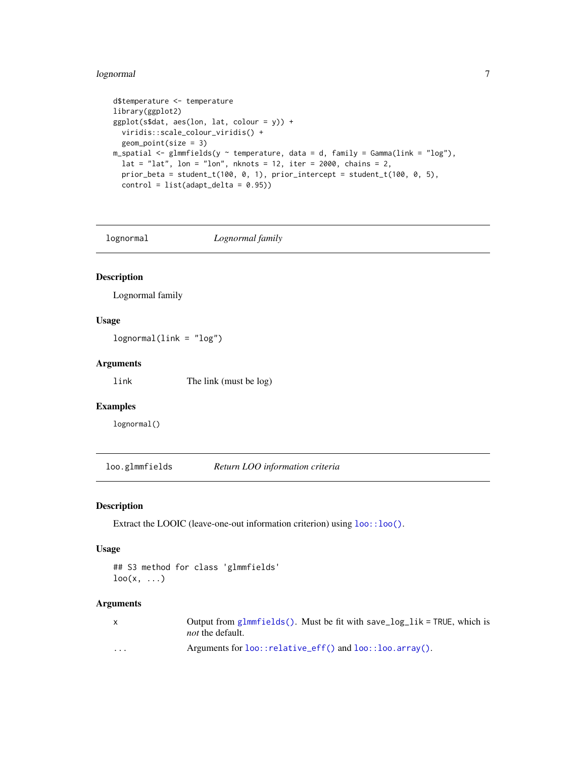### <span id="page-6-0"></span>lognormal 7

```
d$temperature <- temperature
library(ggplot2)
ggplot(s$dat, aes(lon, lat, colour = y)) +
  viridis::scale_colour_viridis() +
  geom_point(size = 3)
m_spatial <- glmmfields(y \sim temperature, data = d, family = Gamma(link = "log"),
  lat = "lat", lon = "lon", nhnots = 12, iter = 2000, chains = 2,prior_beta = student_t(100, 0, 1), prior_intercept = student_t(100, 0, 5),
  control = list(adapt\_delta = 0.95))
```
<span id="page-6-1"></span>

lognormal *Lognormal family*

### Description

Lognormal family

### Usage

lognormal(link = "log")

### Arguments

link The link (must be log)

### Examples

lognormal()

loo.glmmfields *Return LOO information criteria*

### Description

Extract the LOOIC (leave-one-out information criterion) using [loo::loo\(\)](#page-0-0).

### Usage

## S3 method for class 'glmmfields'  $\text{loo}(x, \ldots)$ 

| $\mathsf{x}$ | Output from glmmfields(). Must be fit with save_log_lik = TRUE, which is<br><i>not</i> the default. |
|--------------|-----------------------------------------------------------------------------------------------------|
| $\cdots$     | Arguments for loo::relative_eff() and loo::loo.array().                                             |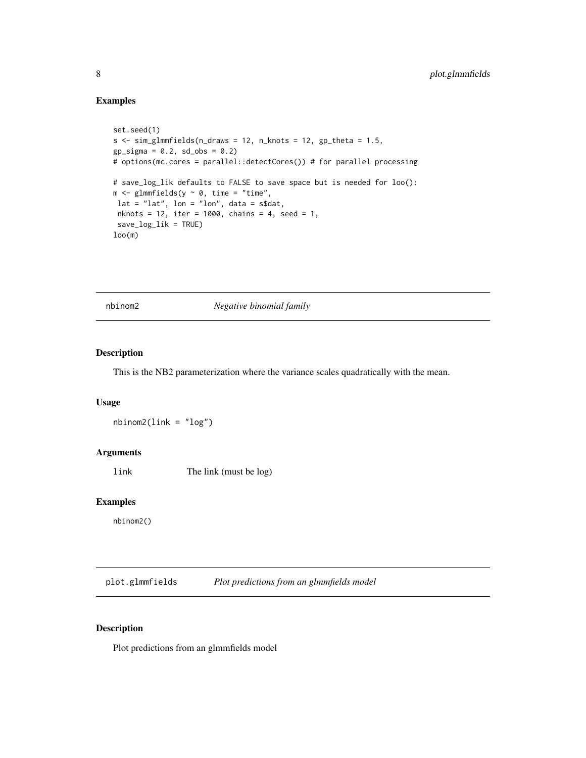### <span id="page-7-0"></span>Examples

```
set.seed(1)
s \leq \text{sim\_glmmfields}(n_{\text{d}}) = 12, n_knots = 12, gp_theta = 1.5,
gp\_sigma = 0.2, sd\_obs = 0.2# options(mc.cores = parallel::detectCores()) # for parallel processing
# save_log_lik defaults to FALSE to save space but is needed for loo():
m \leq glmmfields(y \sim 0, time = "time",
lat = "lat", lon = "lon", data = s$dat,nknots = 12, iter = 1000, chains = 4, seed = 1,
save_log_lik = TRUE)
loop(m)
```
<span id="page-7-1"></span>nbinom2 *Negative binomial family*

### Description

This is the NB2 parameterization where the variance scales quadratically with the mean.

### Usage

 $nbinom2(link = "log")$ 

### Arguments

link The link (must be log)

### Examples

nbinom2()

plot.glmmfields *Plot predictions from an glmmfields model*

### Description

Plot predictions from an glmmfields model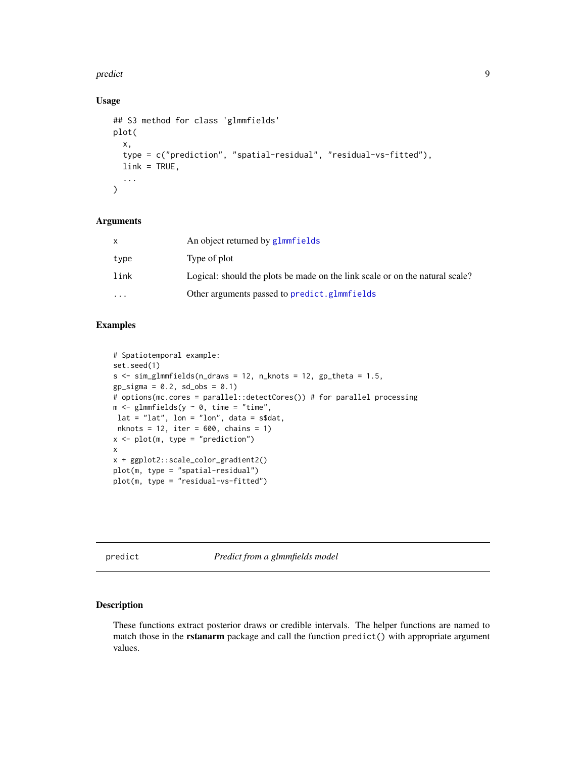### <span id="page-8-0"></span>predict the contract of the contract of the contract of the contract of the contract of the contract of the contract of the contract of the contract of the contract of the contract of the contract of the contract of the co

### Usage

```
## S3 method for class 'glmmfields'
plot(
  x,
  type = c("prediction", "spatial-residual", "residual-vs-fitted"),
 link = TRUE,
  ...
)
```
### Arguments

|           | An object returned by glmmfields                                             |
|-----------|------------------------------------------------------------------------------|
| type      | Type of plot                                                                 |
| link      | Logical: should the plots be made on the link scale or on the natural scale? |
| $\ddotsc$ | Other arguments passed to predict.glmmfields                                 |

### Examples

```
# Spatiotemporal example:
set.seed(1)
s \leq \text{sim\_glmmfields}(n\_draws = 12, n\_knots = 12, gp\_theta = 1.5,gp\_sigma = 0.2, sd\_obs = 0.1# options(mc.cores = parallel::detectCores()) # for parallel processing
m \leq -glmmfields(y \sim 0, time = "time",
lat = "lat", lon = "lon", data = s$dat,nknots = 12, iter = 600, chains = 1)
x \leq plot(m, type = "prediction")x
x + ggplot2::scale_color_gradient2()
plot(m, type = "spatial-residual")
plot(m, type = "residual-vs-fitted")
```
predict *Predict from a glmmfields model*

### <span id="page-8-1"></span>Description

These functions extract posterior draws or credible intervals. The helper functions are named to match those in the rstanarm package and call the function predict() with appropriate argument values.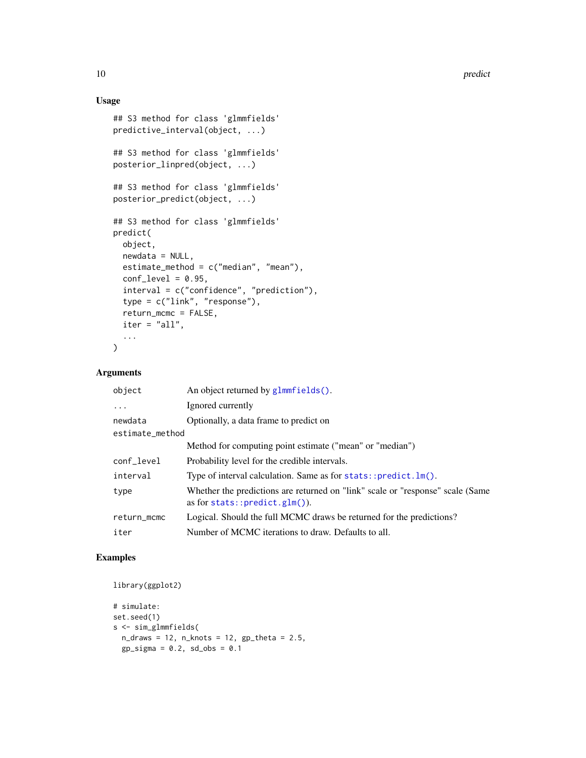### Usage

```
## S3 method for class 'glmmfields'
predictive_interval(object, ...)
## S3 method for class 'glmmfields'
posterior_linpred(object, ...)
## S3 method for class 'glmmfields'
posterior_predict(object, ...)
## S3 method for class 'glmmfields'
predict(
 object,
 newdata = NULL,
  estimate_method = c("median", "mean"),
  conf\_level = 0.95,
  interval = c("confidence", "prediction"),
  type = c("link", "response"),
  return_mcmc = FALSE,
 iter = "all",...
\mathcal{L}
```
### Arguments

| object          | An object returned by glmmfields().                                                                                |  |
|-----------------|--------------------------------------------------------------------------------------------------------------------|--|
| $\ddots$ .      | Ignored currently                                                                                                  |  |
| newdata         | Optionally, a data frame to predict on                                                                             |  |
| estimate_method |                                                                                                                    |  |
|                 | Method for computing point estimate ("mean" or "median")                                                           |  |
| conf_level      | Probability level for the credible intervals.                                                                      |  |
| interval        | Type of interval calculation. Same as for $stats::predict.lm()$ .                                                  |  |
| type            | Whether the predictions are returned on "link" scale or "response" scale (Same<br>as for stats:: $predict.glm()$ . |  |
| return_mcmc     | Logical. Should the full MCMC draws be returned for the predictions?                                               |  |
| iter            | Number of MCMC iterations to draw. Defaults to all.                                                                |  |

### Examples

```
library(ggplot2)
```

```
# simulate:
set.seed(1)
s <- sim_glmmfields(
 n_{\text{max}} = 12, n_{\text{knot}} = 12, gp_{\text{delta}} = 2.5,
  gp\_sigma = 0.2, sd\_obs = 0.1
```
<span id="page-9-0"></span>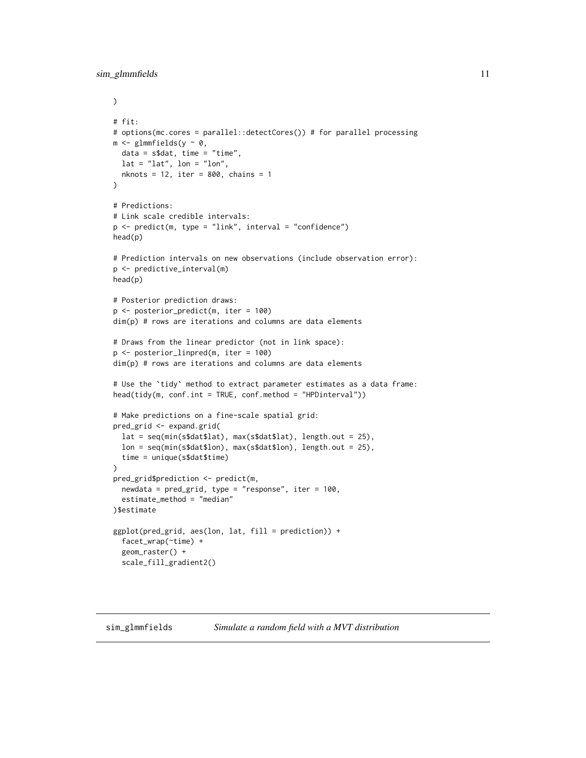```
)
# fit:
# options(mc.cores = parallel::detectCores()) # for parallel processing
m \leq glmmfields(y \sim 0,
 data = s$dat, time = "time",
  lat = "lat", lon = "lon",nknots = 12, iter = 800, chains = 1
\mathcal{L}# Predictions:
# Link scale credible intervals:
p \le - predict(m, type = "link", interval = "confidence")
head(p)
# Prediction intervals on new observations (include observation error):
p <- predictive_interval(m)
head(p)
# Posterior prediction draws:
p <- posterior_predict(m, iter = 100)
dim(p) # rows are iterations and columns are data elements
# Draws from the linear predictor (not in link space):
p <- posterior_linpred(m, iter = 100)
dim(p) # rows are iterations and columns are data elements
# Use the `tidy` method to extract parameter estimates as a data frame:
head(tidy(m, conf.int = TRUE, conf.method = "HPDinterval"))
# Make predictions on a fine-scale spatial grid:
pred_grid <- expand.grid(
  lat = seq(min(s$dat$lat), max(s$dat$lat), length.out = 25),
  lon = seq(min(s$dat$lon), max(s$dat$lon), length.out = 25),
  time = unique(s$dat$time)
\lambdapred_grid$prediction <- predict(m,
  newdata = pred_grid, type = "response", iter = 100,
  estimate_method = "median"
)$estimate
ggplot(pred_grid, aes(lon, lat, fill = prediction)) +
  facet_wrap(~time) +
  geom_raster() +
  scale_fill_gradient2()
```
sim\_glmmfields *Simulate a random field with a MVT distribution*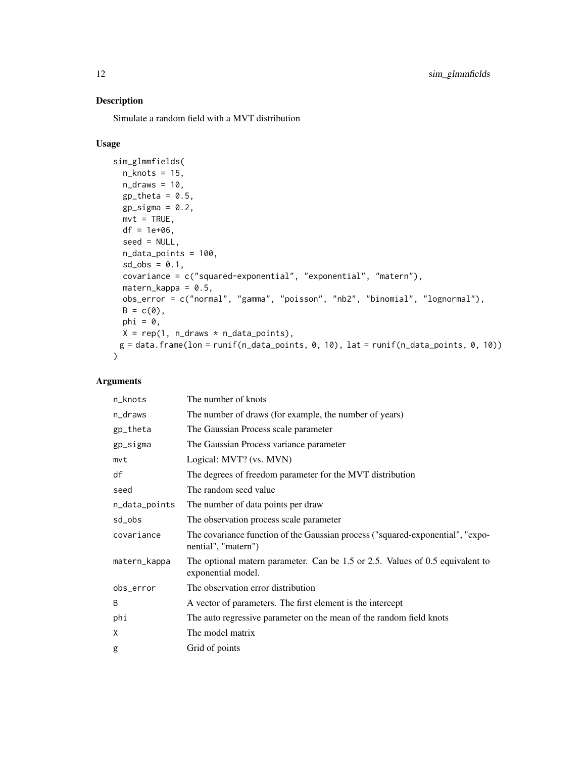### Description

Simulate a random field with a MVT distribution

### Usage

```
sim_glmmfields(
 n_knots = 15,
 n_{\text{max}} = 10,
  gp_{theta} = 0.5,
  gp\_sigma = 0.2,
 mvt = TRUE,df = 1e+06,
  seed = NULL,
 n_data_points = 100,
 sd\_obs = 0.1,
 covariance = c("squared-exponential", "exponential", "matern"),
 material- matern_kappa = 0.5,
 obs_error = c("normal", "gamma", "poisson", "nb2", "binomial", "lognormal"),
 B = c(0),
 phi = 0,
 X = rep(1, n_{\text{d}}raws * n_data_points),
 g = data. frame(lon = runif(n_data_points, 0, 10), lat = runif(n_data_points, 0, 10))
\lambda
```

| n_knots       | The number of knots                                                                                   |  |
|---------------|-------------------------------------------------------------------------------------------------------|--|
| n_draws       | The number of draws (for example, the number of years)                                                |  |
| gp_theta      | The Gaussian Process scale parameter                                                                  |  |
| gp_sigma      | The Gaussian Process variance parameter                                                               |  |
| mvt           | Logical: MVT? (vs. MVN)                                                                               |  |
| df            | The degrees of freedom parameter for the MVT distribution                                             |  |
| seed          | The random seed value                                                                                 |  |
| n_data_points | The number of data points per draw                                                                    |  |
| sd_obs        | The observation process scale parameter                                                               |  |
| covariance    | The covariance function of the Gaussian process ("squared-exponential", "expo-<br>nential", "matern") |  |
| matern_kappa  | The optional matern parameter. Can be 1.5 or 2.5. Values of 0.5 equivalent to<br>exponential model.   |  |
| obs_error     | The observation error distribution                                                                    |  |
| B             | A vector of parameters. The first element is the intercept                                            |  |
| phi           | The auto regressive parameter on the mean of the random field knots                                   |  |
| X             | The model matrix                                                                                      |  |
| g             | Grid of points                                                                                        |  |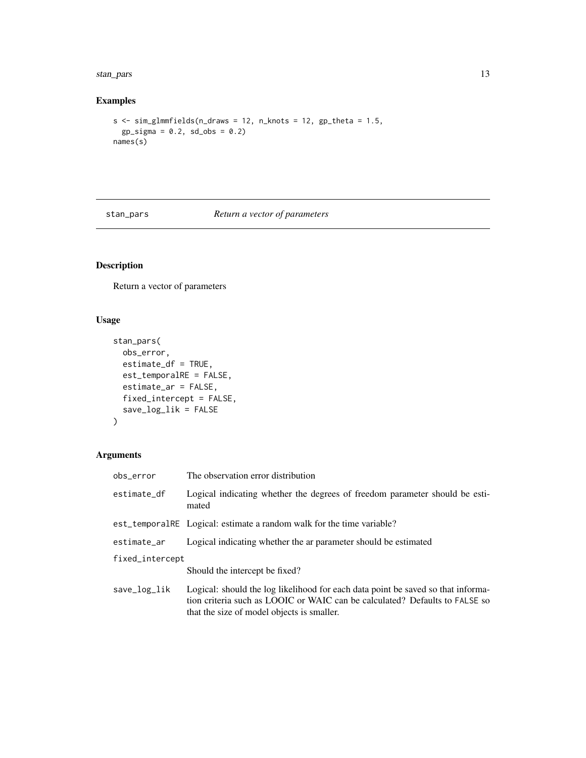### <span id="page-12-0"></span>stan\_pars 13

### Examples

```
s \leq \text{sim\_glmmfields}(n\_draws = 12, n\_knots = 12, gp\_theta = 1.5,gp\_sigma = 0.2, sd\_obs = 0.2names(s)
```
stan\_pars *Return a vector of parameters*

### Description

Return a vector of parameters

### Usage

```
stan_pars(
 obs_error,
 estimate_df = TRUE,
 est_temporalRE = FALSE,
 estimate_ar = FALSE,
 fixed_intercept = FALSE,
 save_log_lik = FALSE
\mathcal{L}
```

| obs_error       | The observation error distribution                                                                                                                                                                            |  |
|-----------------|---------------------------------------------------------------------------------------------------------------------------------------------------------------------------------------------------------------|--|
| estimate df     | Logical indicating whether the degrees of freedom parameter should be esti-<br>mated                                                                                                                          |  |
|                 | est_temporalRE Logical: estimate a random walk for the time variable?                                                                                                                                         |  |
| estimate_ar     | Logical indicating whether the ar parameter should be estimated                                                                                                                                               |  |
| fixed_intercept |                                                                                                                                                                                                               |  |
|                 | Should the intercept be fixed?                                                                                                                                                                                |  |
| save_log_lik    | Logical: should the log likelihood for each data point be saved so that informa-<br>tion criteria such as LOOIC or WAIC can be calculated? Defaults to FALSE so<br>that the size of model objects is smaller. |  |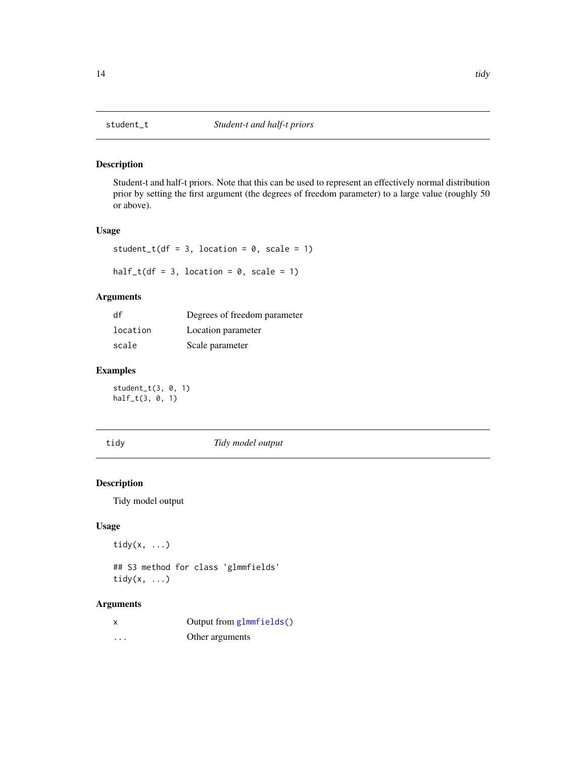### <span id="page-13-2"></span><span id="page-13-1"></span><span id="page-13-0"></span>Description

Student-t and half-t priors. Note that this can be used to represent an effectively normal distribution prior by setting the first argument (the degrees of freedom parameter) to a large value (roughly 50 or above).

### Usage

```
student_t(df = 3, location = 0, scale = 1)
```
half\_t(df = 3, location =  $0$ , scale = 1)

### Arguments

| df       | Degrees of freedom parameter |
|----------|------------------------------|
| location | Location parameter           |
| scale    | Scale parameter              |

### Examples

student\_t(3, 0, 1) half\_t(3, 0, 1)

tidy *Tidy model output*

### Description

Tidy model output

### Usage

tidy $(x, \ldots)$ 

## S3 method for class 'glmmfields' tidy $(x, \ldots)$ 

|   | Output from glmmfields() |
|---|--------------------------|
| . | Other arguments          |